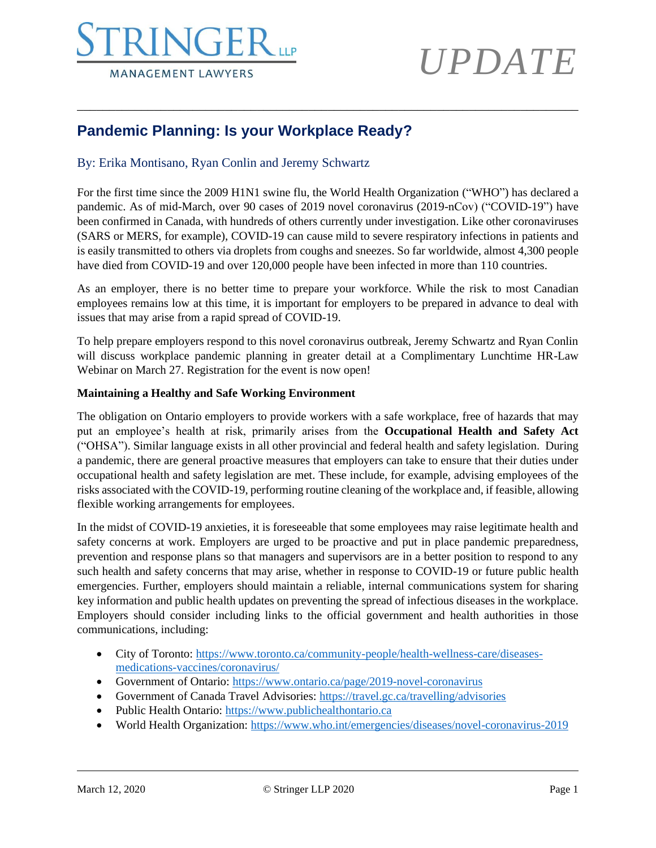### **NGE MANAGEMENT LAWYERS**

## *UPDATE*

### **Pandemic Planning: Is your Workplace Ready?**

### By: Erika Montisano, Ryan Conlin and Jeremy Schwartz

For the first time since the 2009 H1N1 swine flu, the World Health Organization ("WHO") has declared a pandemic. As of mid-March, over 90 cases of 2019 novel coronavirus (2019-nCov) ("COVID-19") have been confirmed in Canada, with hundreds of others currently under investigation. Like other coronaviruses (SARS or MERS, for example), COVID-19 can cause mild to severe respiratory infections in patients and is easily transmitted to others via droplets from coughs and sneezes. So far worldwide, almost 4,300 people have died from COVID-19 and over 120,000 people have been infected in more than 110 countries.

\_\_\_\_\_\_\_\_\_\_\_\_\_\_\_\_\_\_\_\_\_\_\_\_\_\_\_\_\_\_\_\_\_\_\_\_\_\_\_\_\_\_\_\_\_\_\_\_\_\_\_\_\_\_\_\_\_\_\_\_\_\_\_\_\_\_\_\_\_\_\_\_\_\_\_\_\_\_

As an employer, there is no better time to prepare your workforce. While the risk to most Canadian employees remains low at this time, it is important for employers to be prepared in advance to deal with issues that may arise from a rapid spread of COVID-19.

To help prepare employers respond to this novel coronavirus outbreak, Jeremy Schwartz and Ryan Conlin will discuss workplace pandemic planning in greater detail at a Complimentary Lunchtime HR-Law Webinar on March 27. Registration for the event is now open!

### **Maintaining a Healthy and Safe Working Environment**

The obligation on Ontario employers to provide workers with a safe workplace, free of hazards that may put an employee's health at risk, primarily arises from the **Occupational Health and Safety Act**  ("OHSA"). Similar language exists in all other provincial and federal health and safety legislation. During a pandemic, there are general proactive measures that employers can take to ensure that their duties under occupational health and safety legislation are met. These include, for example, advising employees of the risks associated with the COVID-19, performing routine cleaning of the workplace and, if feasible, allowing flexible working arrangements for employees.

In the midst of COVID-19 anxieties, it is foreseeable that some employees may raise legitimate health and safety concerns at work. Employers are urged to be proactive and put in place pandemic preparedness, prevention and response plans so that managers and supervisors are in a better position to respond to any such health and safety concerns that may arise, whether in response to COVID-19 or future public health emergencies. Further, employers should maintain a reliable, internal communications system for sharing key information and public health updates on preventing the spread of infectious diseases in the workplace. Employers should consider including links to the official government and health authorities in those communications, including:

- City of Toronto: [https://www.toronto.ca/community-people/health-wellness-care/diseases](https://www.toronto.ca/community-people/health-wellness-care/diseases-medications-vaccines/coronavirus/)[medications-vaccines/coronavirus/](https://www.toronto.ca/community-people/health-wellness-care/diseases-medications-vaccines/coronavirus/)
- Government of Ontario:<https://www.ontario.ca/page/2019-novel-coronavirus>
- Government of Canada Travel Advisories:<https://travel.gc.ca/travelling/advisories>
- Public Health Ontario: [https://www.publichealthontario.ca](https://www.publichealthontario.ca/)
- World Health Organization:<https://www.who.int/emergencies/diseases/novel-coronavirus-2019>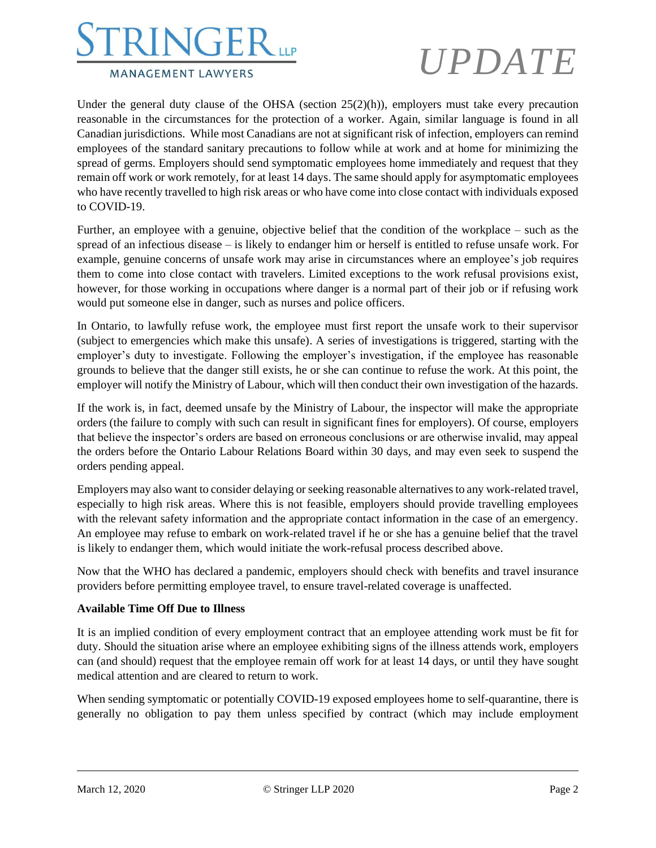# **MANAGEMENT LAWYERS**

# *UPDATE*

Under the general duty clause of the OHSA (section  $25(2)(h)$ ), employers must take every precaution reasonable in the circumstances for the protection of a worker. Again, similar language is found in all Canadian jurisdictions. While most Canadians are not at significant risk of infection, employers can remind employees of the standard sanitary precautions to follow while at work and at home for minimizing the spread of germs. Employers should send symptomatic employees home immediately and request that they remain off work or work remotely, for at least 14 days. The same should apply for asymptomatic employees who have recently travelled to high risk areas or who have come into close contact with individuals exposed to COVID-19.

Further, an employee with a genuine, objective belief that the condition of the workplace – such as the spread of an infectious disease – is likely to endanger him or herself is entitled to refuse unsafe work. For example, genuine concerns of unsafe work may arise in circumstances where an employee's job requires them to come into close contact with travelers. Limited exceptions to the work refusal provisions exist, however, for those working in occupations where danger is a normal part of their job or if refusing work would put someone else in danger, such as nurses and police officers.

In Ontario, to lawfully refuse work, the employee must first report the unsafe work to their supervisor (subject to emergencies which make this unsafe). A series of investigations is triggered, starting with the employer's duty to investigate. Following the employer's investigation, if the employee has reasonable grounds to believe that the danger still exists, he or she can continue to refuse the work. At this point, the employer will notify the Ministry of Labour, which will then conduct their own investigation of the hazards.

If the work is, in fact, deemed unsafe by the Ministry of Labour, the inspector will make the appropriate orders (the failure to comply with such can result in significant fines for employers). Of course, employers that believe the inspector's orders are based on erroneous conclusions or are otherwise invalid, may appeal the orders before the Ontario Labour Relations Board within 30 days, and may even seek to suspend the orders pending appeal.

Employers may also want to consider delaying or seeking reasonable alternatives to any work-related travel, especially to high risk areas. Where this is not feasible, employers should provide travelling employees with the relevant safety information and the appropriate contact information in the case of an emergency. An employee may refuse to embark on work-related travel if he or she has a genuine belief that the travel is likely to endanger them, which would initiate the work-refusal process described above.

Now that the WHO has declared a pandemic, employers should check with benefits and travel insurance providers before permitting employee travel, to ensure travel-related coverage is unaffected.

### **Available Time Off Due to Illness**

It is an implied condition of every employment contract that an employee attending work must be fit for duty. Should the situation arise where an employee exhibiting signs of the illness attends work, employers can (and should) request that the employee remain off work for at least 14 days, or until they have sought medical attention and are cleared to return to work.

When sending symptomatic or potentially COVID-19 exposed employees home to self-quarantine, there is generally no obligation to pay them unless specified by contract (which may include employment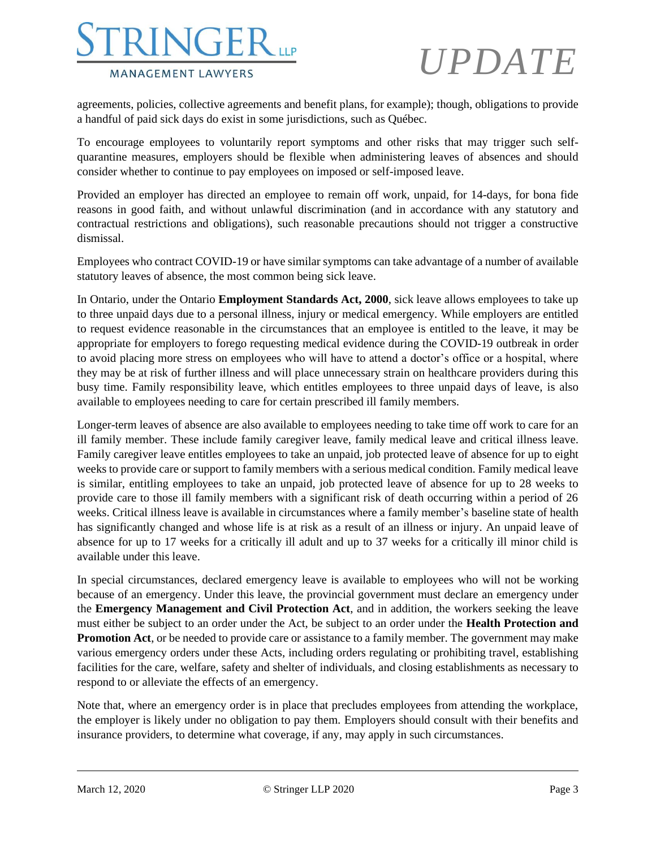### NGEI **MANAGEMENT LAWYERS**

# *UPDATE*

agreements, policies, collective agreements and benefit plans, for example); though, obligations to provide a handful of paid sick days do exist in some jurisdictions, such as Québec.

To encourage employees to voluntarily report symptoms and other risks that may trigger such selfquarantine measures, employers should be flexible when administering leaves of absences and should consider whether to continue to pay employees on imposed or self-imposed leave.

Provided an employer has directed an employee to remain off work, unpaid, for 14-days, for bona fide reasons in good faith, and without unlawful discrimination (and in accordance with any statutory and contractual restrictions and obligations), such reasonable precautions should not trigger a constructive dismissal.

Employees who contract COVID-19 or have similar symptoms can take advantage of a number of available statutory leaves of absence, the most common being sick leave.

In Ontario, under the Ontario **Employment Standards Act, 2000**, sick leave allows employees to take up to three unpaid days due to a personal illness, injury or medical emergency. While employers are entitled to request evidence reasonable in the circumstances that an employee is entitled to the leave, it may be appropriate for employers to forego requesting medical evidence during the COVID-19 outbreak in order to avoid placing more stress on employees who will have to attend a doctor's office or a hospital, where they may be at risk of further illness and will place unnecessary strain on healthcare providers during this busy time. Family responsibility leave, which entitles employees to three unpaid days of leave, is also available to employees needing to care for certain prescribed ill family members.

Longer-term leaves of absence are also available to employees needing to take time off work to care for an ill family member. These include family caregiver leave, family medical leave and critical illness leave. Family caregiver leave entitles employees to take an unpaid, job protected leave of absence for up to eight weeks to provide care or support to family members with a serious medical condition. Family medical leave is similar, entitling employees to take an unpaid, job protected leave of absence for up to 28 weeks to provide care to those ill family members with a significant risk of death occurring within a period of 26 weeks. Critical illness leave is available in circumstances where a family member's baseline state of health has significantly changed and whose life is at risk as a result of an illness or injury. An unpaid leave of absence for up to 17 weeks for a critically ill adult and up to 37 weeks for a critically ill minor child is available under this leave.

In special circumstances, declared emergency leave is available to employees who will not be working because of an emergency. Under this leave, the provincial government must declare an emergency under the **Emergency Management and Civil Protection Act**, and in addition, the workers seeking the leave must either be subject to an order under the Act, be subject to an order under the **Health Protection and Promotion Act**, or be needed to provide care or assistance to a family member. The government may make various emergency orders under these Acts, including orders regulating or prohibiting travel, establishing facilities for the care, welfare, safety and shelter of individuals, and closing establishments as necessary to respond to or alleviate the effects of an emergency.

Note that, where an emergency order is in place that precludes employees from attending the workplace, the employer is likely under no obligation to pay them. Employers should consult with their benefits and insurance providers, to determine what coverage, if any, may apply in such circumstances.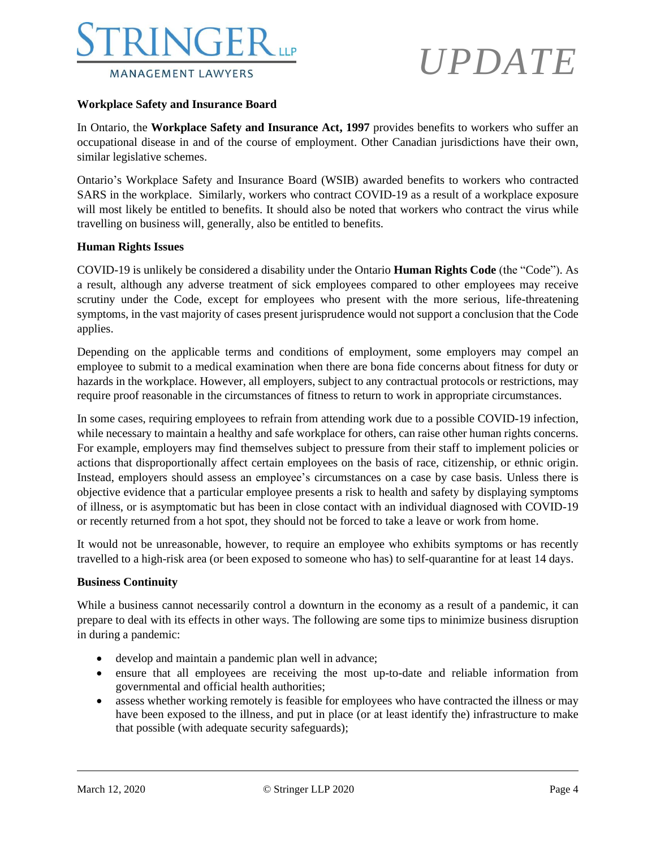

# *UPDATE*

#### **Workplace Safety and Insurance Board**

In Ontario, the **Workplace Safety and Insurance Act, 1997** provides benefits to workers who suffer an occupational disease in and of the course of employment. Other Canadian jurisdictions have their own, similar legislative schemes.

Ontario's Workplace Safety and Insurance Board (WSIB) awarded benefits to workers who contracted SARS in the workplace. Similarly, workers who contract COVID-19 as a result of a workplace exposure will most likely be entitled to benefits. It should also be noted that workers who contract the virus while travelling on business will, generally, also be entitled to benefits.

### **Human Rights Issues**

COVID-19 is unlikely be considered a disability under the Ontario **Human Rights Code** (the "Code"). As a result, although any adverse treatment of sick employees compared to other employees may receive scrutiny under the Code, except for employees who present with the more serious, life-threatening symptoms, in the vast majority of cases present jurisprudence would not support a conclusion that the Code applies.

Depending on the applicable terms and conditions of employment, some employers may compel an employee to submit to a medical examination when there are bona fide concerns about fitness for duty or hazards in the workplace. However, all employers, subject to any contractual protocols or restrictions, may require proof reasonable in the circumstances of fitness to return to work in appropriate circumstances.

In some cases, requiring employees to refrain from attending work due to a possible COVID-19 infection, while necessary to maintain a healthy and safe workplace for others, can raise other human rights concerns. For example, employers may find themselves subject to pressure from their staff to implement policies or actions that disproportionally affect certain employees on the basis of race, citizenship, or ethnic origin. Instead, employers should assess an employee's circumstances on a case by case basis. Unless there is objective evidence that a particular employee presents a risk to health and safety by displaying symptoms of illness, or is asymptomatic but has been in close contact with an individual diagnosed with COVID-19 or recently returned from a hot spot, they should not be forced to take a leave or work from home.

It would not be unreasonable, however, to require an employee who exhibits symptoms or has recently travelled to a high-risk area (or been exposed to someone who has) to self-quarantine for at least 14 days.

#### **Business Continuity**

While a business cannot necessarily control a downturn in the economy as a result of a pandemic, it can prepare to deal with its effects in other ways. The following are some tips to minimize business disruption in during a pandemic:

- develop and maintain a pandemic plan well in advance;
- ensure that all employees are receiving the most up-to-date and reliable information from governmental and official health authorities;
- assess whether working remotely is feasible for employees who have contracted the illness or may have been exposed to the illness, and put in place (or at least identify the) infrastructure to make that possible (with adequate security safeguards);